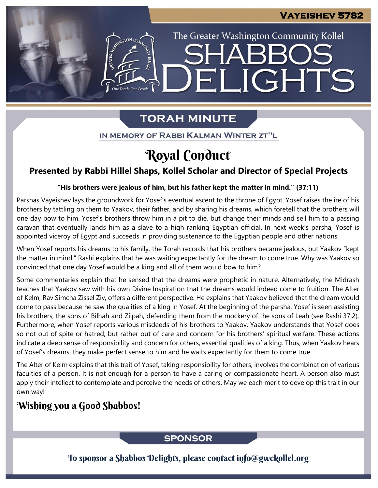The Greater Washington Community Kollel

IGHTS

# **TORAH MINUTE**

EI

ASSEMBATON CO

IN MEMORY OF RABBI KALMAN WINTER ZT"L

# Royal Conduct

# **Presented by Rabbi Hillel Shaps, Kollel Scholar and Director of Special Projects**

#### **"His brothers were jealous of him, but his father kept the matter in mind." (37:11) From our archives**

Parshas Vayeishev lays the groundwork for Yosef's eventual ascent to the throne of Egypt. Yosef raises the ire of his brothers by tattling on them to Yaakov, their father, and by sharing his dreams, which foretell that the brothers will one day bow to him. Yosef's brothers throw him in a pit to die, but change their minds and sell him to a passing caravan that eventually lands him as a slave to a high ranking Egyptian official. In next week's parsha, Yosef is appointed viceroy of Egypt and succeeds in providing sustenance to the Egyptian people and other nations.

When Yosef reports his dreams to his family, the Torah records that his brothers became jealous, but Yaakov "kept the matter in mind." Rashi explains that he was waiting expectantly for the dream to come true. Why was Yaakov so convinced that one day Yosef would be a king and all of them would bow to him?

Some commentaries explain that he sensed that the dreams were prophetic in nature. Alternatively, the Midrash teaches that Yaakov saw with his own Divine Inspiration that the dreams would indeed come to fruition. The Alter of Kelm, Rav Simcha Zissel Ziv, offers a different perspective. He explains that Yaakov believed that the dream would come to pass because he saw the qualities of a king in Yosef. At the beginning of the parsha, Yosef is seen assisting his brothers, the sons of Bilhah and Zilpah, defending them from the mockery of the sons of Leah (see Rashi 37:2). Furthermore, when Yosef reports various misdeeds of his brothers to Yaakov, Yaakov understands that Yosef does so not out of spite or hatred, but rather out of care and concern for his brothers' spiritual welfare. These actions indicate a deep sense of responsibility and concern for others, essential qualities of a king. Thus, when Yaakov hears of Yosef's dreams, they make perfect sense to him and he waits expectantly for them to come true.

The Alter of Kelm explains that this trait of Yosef, taking responsibility for others, involves the combination of various faculties of a person. It is not enough for a person to have a caring or compassionate heart. A person also must apply their intellect to contemplate and perceive the needs of others. May we each merit to develop this trait in our own way!

# Wishing you a Good Shabbos!

## **SPONSOR**

To sponsor a Shabbos Delights, please contact info@gwckollel.org